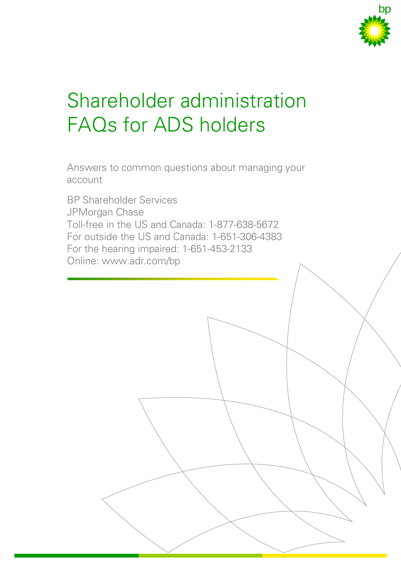

# Shareholder administration FAQs for ADS holders

Answers to common questions about managing your account

BP Shareholder Services JPMorgan Chase Toll-free in the US and Canada: 1-877-638-5672 For outside the US and Canada: 1-651-306-4383 For the hearing impaired: 1-651-453-2133 Online: www.adr.com/bp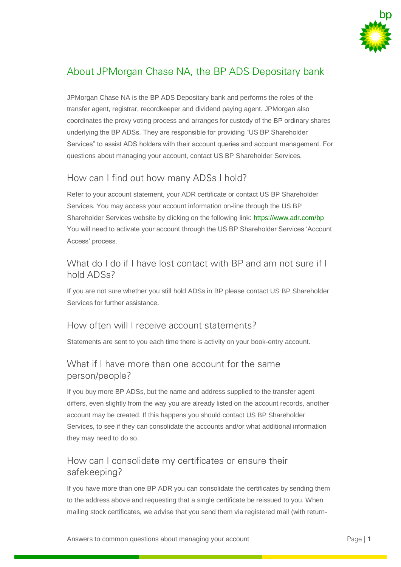

# About JPMorgan Chase NA, the BP ADS Depositary bank

JPMorgan Chase NA is the BP ADS Depositary bank and performs the roles of the transfer agent, registrar, recordkeeper and dividend paying agent. JPMorgan also coordinates the proxy voting process and arranges for custody of the BP ordinary shares underlying the BP ADSs. They are responsible for providing "US BP Shareholder Services" to assist ADS holders with their account queries and account management. For questions about managing your account, contact US BP Shareholder Services.

## How can I find out how many ADSs I hold?

Refer to your account statement, your ADR certificate or contact US BP Shareholder Services. You may access your account information on-line through the US BP Shareholder Services website by clicking on the following link:<https://www.adr.com/bp> You will need to activate your account through the US BP Shareholder Services 'Account Access' process.

#### What do I do if I have lost contact with BP and am not sure if I hold ADSs?

If you are not sure whether you still hold ADSs in BP please contact US BP Shareholder Services for further assistance.

#### How often will I receive account statements?

Statements are sent to you each time there is activity on your book-entry account.

#### What if I have more than one account for the same person/people?

If you buy more BP ADSs, but the name and address supplied to the transfer agent differs, even slightly from the way you are already listed on the account records, another account may be created. If this happens you should contact US BP Shareholder Services, to see if they can consolidate the accounts and/or what additional information they may need to do so.

#### How can I consolidate my certificates or ensure their safekeeping?

If you have more than one BP ADR you can consolidate the certificates by sending them to the address above and requesting that a single certificate be reissued to you. When mailing stock certificates, we advise that you send them via registered mail (with return-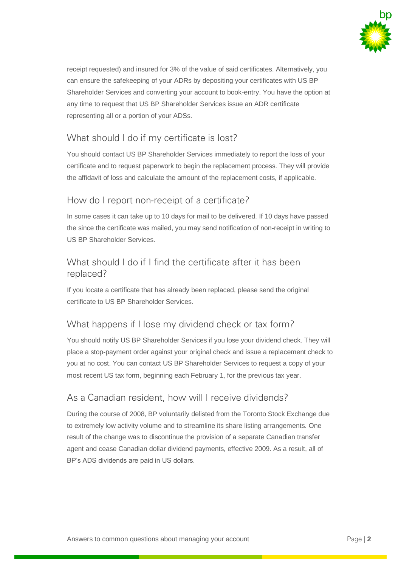

receipt requested) and insured for 3% of the value of said certificates. Alternatively, you can ensure the safekeeping of your ADRs by depositing your certificates with US BP Shareholder Services and converting your account to book-entry. You have the option at any time to request that US BP Shareholder Services issue an ADR certificate representing all or a portion of your ADSs.

## What should I do if my certificate is lost?

You should contact US BP Shareholder Services immediately to report the loss of your certificate and to request paperwork to begin the replacement process. They will provide the affidavit of loss and calculate the amount of the replacement costs, if applicable.

## How do I report non-receipt of a certificate?

In some cases it can take up to 10 days for mail to be delivered. If 10 days have passed the since the certificate was mailed, you may send notification of non-receipt in writing to US BP Shareholder Services.

## What should I do if I find the certificate after it has been replaced?

If you locate a certificate that has already been replaced, please send the original certificate to US BP Shareholder Services.

#### What happens if I lose my dividend check or tax form?

You should notify US BP Shareholder Services if you lose your dividend check. They will place a stop-payment order against your original check and issue a replacement check to you at no cost. You can contact US BP Shareholder Services to request a copy of your most recent US tax form, beginning each February 1, for the previous tax year.

#### As a Canadian resident, how will I receive dividends?

During the course of 2008, BP voluntarily delisted from the Toronto Stock Exchange due to extremely low activity volume and to streamline its share listing arrangements. One result of the change was to discontinue the provision of a separate Canadian transfer agent and cease Canadian dollar dividend payments, effective 2009. As a result, all of BP's ADS dividends are paid in US dollars.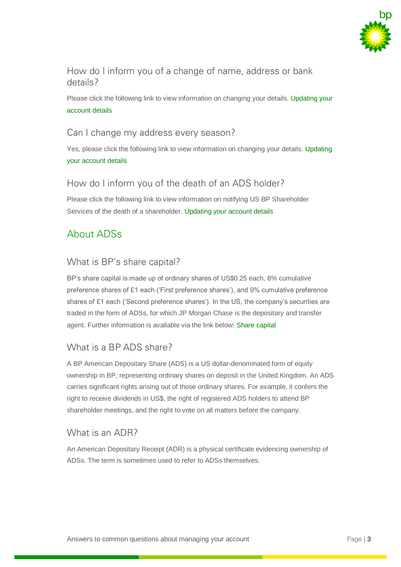

#### How do I inform you of a change of name, address or bank details?

Please click the following link to view information on changing your details. Updating your account details

#### Can I change my address every season?

Yes, please click the following link to view information on changing your details. Updating your account details

#### How do I inform you of the death of an ADS holder?

Please click the following link to view information on notifying US BP Shareholder Services of the death of a shareholder. Updating your account details

# About ADSs

## What is BP's share capital?

BP's share capital is made up of ordinary shares of US\$0.25 each, 8% cumulative preference shares of £1 each ('First preference shares'), and 9% cumulative preference shares of £1 each ('Second preference shares'). In the US, the company's securities are traded in the form of ADSs, for which JP Morgan Chase is the depositary and transfer agent. Further information is available via the link below: [Share capital](http://www.bp.com/content/bp/en/global/corporate/investors/information-for-shareholders/share-capital.html)

#### What is a BP ADS share?

A BP American Depositary Share (ADS) is a US dollar-denominated form of equity ownership in BP, representing ordinary shares on deposit in the United Kingdom. An ADS carries significant rights arising out of those ordinary shares. For example, it confers the right to receive dividends in US\$, the right of registered ADS holders to attend BP shareholder meetings, and the right to vote on all matters before the company.

#### What is an ADR?

An American Depositary Receipt (ADR) is a physical certificate evidencing ownership of ADSs. The term is sometimes used to refer to ADSs themselves.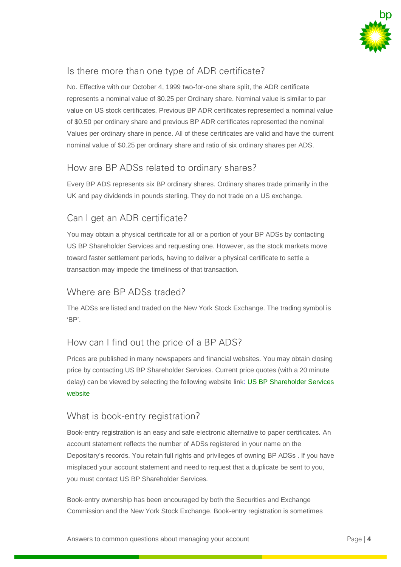

## Is there more than one type of ADR certificate?

No. Effective with our October 4, 1999 two-for-one share split, the ADR certificate represents a nominal value of \$0.25 per Ordinary share. Nominal value is similar to par value on US stock certificates. Previous BP ADR certificates represented a nominal value of \$0.50 per ordinary share and previous BP ADR certificates represented the nominal Values per ordinary share in pence. All of these certificates are valid and have the current nominal value of \$0.25 per ordinary share and ratio of six ordinary shares per ADS.

## How are BP ADSs related to ordinary shares?

Every BP ADS represents six BP ordinary shares. Ordinary shares trade primarily in the UK and pay dividends in pounds sterling. They do not trade on a US exchange.

# Can I get an ADR certificate?

You may obtain a physical certificate for all or a portion of your BP ADSs by contacting US BP Shareholder Services and requesting one. However, as the stock markets move toward faster settlement periods, having to deliver a physical certificate to settle a transaction may impede the timeliness of that transaction.

#### Where are BP ADSs traded?

The ADSs are listed and traded on the New York Stock Exchange. The trading symbol is 'BP'.

#### How can I find out the price of a BP ADS?

Prices are published in many newspapers and financial websites. You may obtain closing price by contacting US BP Shareholder Services. Current price quotes (with a 20 minute delay) can be viewed by selecting the following website lin[k: US BP Shareholder Services](http://www.adr.com/bp)  [website](http://www.adr.com/bp)

#### What is book-entry registration?

Book-entry registration is an easy and safe electronic alternative to paper certificates. An account statement reflects the number of ADSs registered in your name on the Depositary's records. You retain full rights and privileges of owning BP ADSs . If you have misplaced your account statement and need to request that a duplicate be sent to you, you must contact US BP Shareholder Services.

Book-entry ownership has been encouraged by both the Securities and Exchange Commission and the New York Stock Exchange. Book-entry registration is sometimes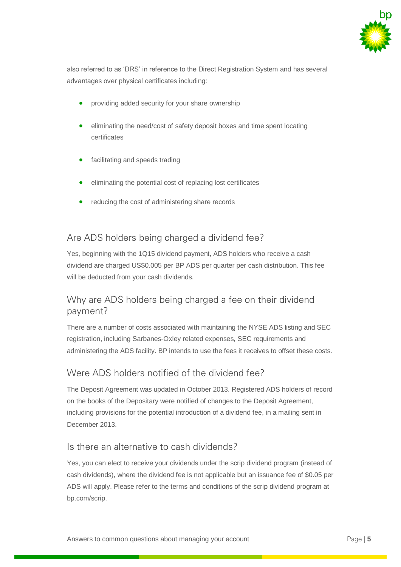

also referred to as 'DRS' in reference to the Direct Registration System and has several advantages over physical certificates including:

- providing added security for your share ownership
- eliminating the need/cost of safety deposit boxes and time spent locating certificates
- facilitating and speeds trading
- eliminating the potential cost of replacing lost certificates
- reducing the cost of administering share records

#### Are ADS holders being charged a dividend fee?

Yes, beginning with the 1Q15 dividend payment, ADS holders who receive a cash dividend are charged US\$0.005 per BP ADS per quarter per cash distribution. This fee will be deducted from your cash dividends.

#### Why are ADS holders being charged a fee on their dividend payment?

There are a number of costs associated with maintaining the NYSE ADS listing and SEC registration, including Sarbanes-Oxley related expenses, SEC requirements and administering the ADS facility. BP intends to use the fees it receives to offset these costs.

#### Were ADS holders notified of the dividend fee?

The Deposit Agreement was updated in October 2013. Registered ADS holders of record on the books of the Depositary were notified of changes to the Deposit Agreement, including provisions for the potential introduction of a dividend fee, in a mailing sent in December 2013.

#### Is there an alternative to cash dividends?

Yes, you can elect to receive your dividends under the scrip dividend program (instead of cash dividends), where the dividend fee is not applicable but an issuance fee of \$0.05 per ADS will apply. Please refer to the terms and conditions of the scrip dividend program at bp.com/scrip.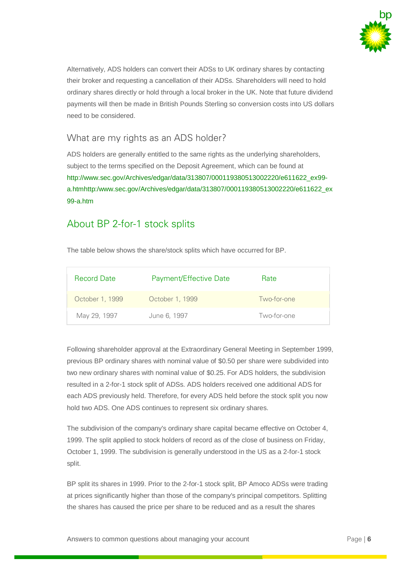

Alternatively, ADS holders can convert their ADSs to UK ordinary shares by contacting their broker and requesting a cancellation of their ADSs. Shareholders will need to hold ordinary shares directly or hold through a local broker in the UK. Note that future dividend payments will then be made in British Pounds Sterling so conversion costs into US dollars need to be considered.

#### What are my rights as an ADS holder?

ADS holders are generally entitled to the same rights as the underlying shareholders, subject to the terms specified on the Deposit Agreement, which can be found at [http://www.sec.gov/Archives/edgar/data/313807/000119380513002220/e611622\\_ex99](http://www.sec.gov/Archives/edgar/data/313807/000119380513002220/e611622_ex99-a.htmhttp:/www.sec.gov/Archives/edgar/data/313807/000119380513002220/e611622_ex99-a.htm) [a.htmhttp:/www.sec.gov/Archives/edgar/data/313807/000119380513002220/e611622\\_ex](http://www.sec.gov/Archives/edgar/data/313807/000119380513002220/e611622_ex99-a.htmhttp:/www.sec.gov/Archives/edgar/data/313807/000119380513002220/e611622_ex99-a.htm) [99-a.htm](http://www.sec.gov/Archives/edgar/data/313807/000119380513002220/e611622_ex99-a.htmhttp:/www.sec.gov/Archives/edgar/data/313807/000119380513002220/e611622_ex99-a.htm)

# About BP 2-for-1 stock splits

The table below shows the share/stock splits which have occurred for BP.

| <b>Record Date</b> | Payment/Effective Date | Rate        |
|--------------------|------------------------|-------------|
| October 1, 1999    | October 1, 1999        | Two-for-one |
| May 29, 1997       | June 6, 1997           | Two-for-one |

Following shareholder approval at the Extraordinary General Meeting in September 1999, previous BP ordinary shares with nominal value of \$0.50 per share were subdivided into two new ordinary shares with nominal value of \$0.25. For ADS holders, the subdivision resulted in a 2-for-1 stock split of ADSs. ADS holders received one additional ADS for each ADS previously held. Therefore, for every ADS held before the stock split you now hold two ADS. One ADS continues to represent six ordinary shares.

The subdivision of the company's ordinary share capital became effective on October 4, 1999. The split applied to stock holders of record as of the close of business on Friday, October 1, 1999. The subdivision is generally understood in the US as a 2-for-1 stock split.

BP split its shares in 1999. Prior to the 2-for-1 stock split, BP Amoco ADSs were trading at prices significantly higher than those of the company's principal competitors. Splitting the shares has caused the price per share to be reduced and as a result the shares

Answers to common questions about managing your account **Page | 6** Page | 6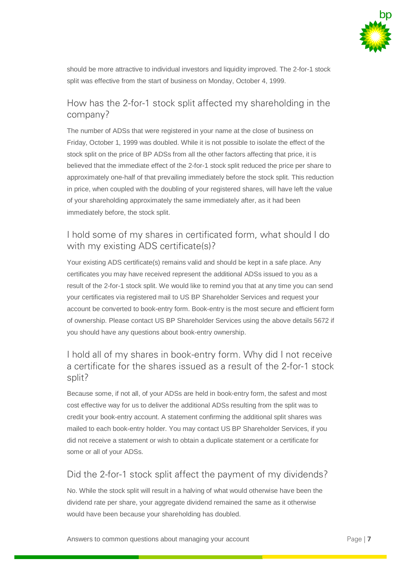

should be more attractive to individual investors and liquidity improved. The 2-for-1 stock split was effective from the start of business on Monday, October 4, 1999.

#### How has the 2-for-1 stock split affected my shareholding in the company?

The number of ADSs that were registered in your name at the close of business on Friday, October 1, 1999 was doubled. While it is not possible to isolate the effect of the stock split on the price of BP ADSs from all the other factors affecting that price, it is believed that the immediate effect of the 2-for-1 stock split reduced the price per share to approximately one-half of that prevailing immediately before the stock split. This reduction in price, when coupled with the doubling of your registered shares, will have left the value of your shareholding approximately the same immediately after, as it had been immediately before, the stock split.

#### I hold some of my shares in certificated form, what should I do with my existing ADS certificate(s)?

Your existing ADS certificate(s) remains valid and should be kept in a safe place. Any certificates you may have received represent the additional ADSs issued to you as a result of the 2-for-1 stock split. We would like to remind you that at any time you can send your certificates via registered mail to US BP Shareholder Services and request your account be converted to book-entry form. Book-entry is the most secure and efficient form of ownership. Please contact US BP Shareholder Services using the above details 5672 if you should have any questions about book-entry ownership.

## I hold all of my shares in book-entry form. Why did I not receive a certificate for the shares issued as a result of the 2-for-1 stock split?

Because some, if not all, of your ADSs are held in book-entry form, the safest and most cost effective way for us to deliver the additional ADSs resulting from the split was to credit your book-entry account. A statement confirming the additional split shares was mailed to each book-entry holder. You may contact US BP Shareholder Services, if you did not receive a statement or wish to obtain a duplicate statement or a certificate for some or all of your ADSs.

#### Did the 2-for-1 stock split affect the payment of my dividends?

No. While the stock split will result in a halving of what would otherwise have been the dividend rate per share, your aggregate dividend remained the same as it otherwise would have been because your shareholding has doubled.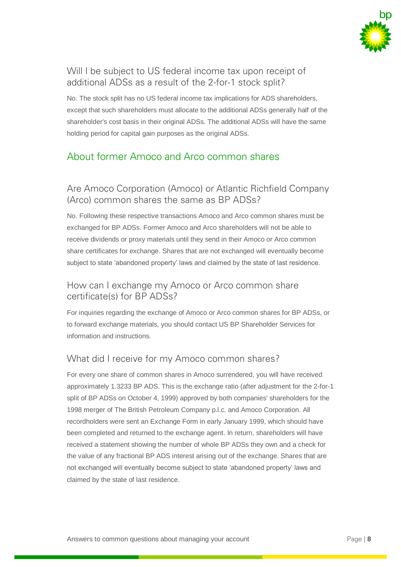

## Will I be subject to US federal income tax upon receipt of additional ADSs as a result of the 2-for-1 stock split?

No. The stock split has no US federal income tax implications for ADS shareholders, except that such shareholders must allocate to the additional ADSs generally half of the shareholder's cost basis in their original ADSs. The additional ADSs will have the same holding period for capital gain purposes as the original ADSs.

# About former Amoco and Arco common shares

#### Are Amoco Corporation (Amoco) or Atlantic Richfield Company (Arco) common shares the same as BP ADSs?

No. Following these respective transactions Amoco and Arco common shares must be exchanged for BP ADSs. Former Amoco and Arco shareholders will not be able to receive dividends or proxy materials until they send in their Amoco or Arco common share certificates for exchange. Shares that are not exchanged will eventually become subject to state 'abandoned property' laws and claimed by the state of last residence.

#### How can I exchange my Amoco or Arco common share certificate(s) for BP ADSs?

For inquiries regarding the exchange of Amoco or Arco common shares for BP ADSs, or to forward exchange materials, you should contact US BP Shareholder Services for information and instructions.

#### What did I receive for my Amoco common shares?

For every one share of common shares in Amoco surrendered, you will have received approximately 1.3233 BP ADS. This is the exchange ratio (after adjustment for the 2-for-1 split of BP ADSs on October 4, 1999) approved by both companies' shareholders for the 1998 merger of The British Petroleum Company p.l.c. and Amoco Corporation. All recordholders were sent an Exchange Form in early January 1999, which should have been completed and returned to the exchange agent. In return, shareholders will have received a statement showing the number of whole BP ADSs they own and a check for the value of any fractional BP ADS interest arising out of the exchange. Shares that are not exchanged will eventually become subject to state 'abandoned property' laws and claimed by the state of last residence.